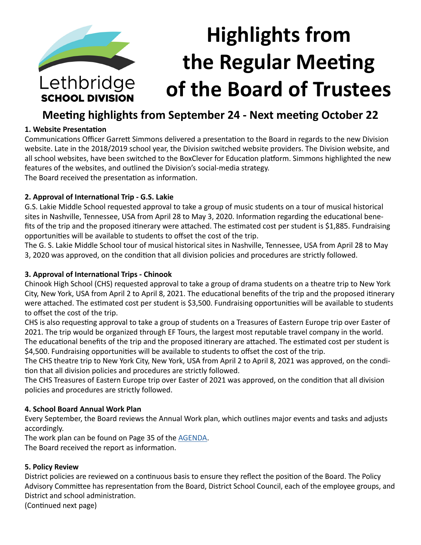

# **Meeting highlights from September 24 - Next meeting October 22**

#### **1. Website Presentation**

Communications Officer Garrett Simmons delivered a presentation to the Board in regards to the new Division website. Late in the 2018/2019 school year, the Division switched website providers. The Division website, and all school websites, have been switched to the BoxClever for Education platform. Simmons highlighted the new features of the websites, and outlined the Division's social-media strategy. The Board received the presentation as information.

**2. Approval of International Trip - G.S. Lakie**

G.S. Lakie Middle School requested approval to take a group of music students on a tour of musical historical sites in Nashville, Tennessee, USA from April 28 to May 3, 2020. Information regarding the educational benefits of the trip and the proposed itinerary were attached. The estimated cost per student is \$1,885. Fundraising opportunities will be available to students to offset the cost of the trip.

The G. S. Lakie Middle School tour of musical historical sites in Nashville, Tennessee, USA from April 28 to May 3, 2020 was approved, on the condition that all division policies and procedures are strictly followed.

#### **3. Approval of International Trips - Chinook**

Chinook High School (CHS) requested approval to take a group of drama students on a theatre trip to New York City, New York, USA from April 2 to April 8, 2021. The educational benefits of the trip and the proposed itinerary were attached. The estimated cost per student is \$3,500. Fundraising opportunities will be available to students to offset the cost of the trip.

CHS is also requesting approval to take a group of students on a Treasures of Eastern Europe trip over Easter of 2021. The trip would be organized through EF Tours, the largest most reputable travel company in the world.

The educational benefits of the trip and the proposed itinerary are attached. The estimated cost per student is \$4,500. Fundraising opportunities will be available to students to offset the cost of the trip.

The CHS theatre trip to New York City, New York, USA from April 2 to April 8, 2021 was approved, on the condition that all division policies and procedures are strictly followed.

The CHS Treasures of Eastern Europe trip over Easter of 2021 was approved, on the condition that all division policies and procedures are strictly followed.

#### **4. School Board Annual Work Plan**

Every September, the Board reviews the Annual Work plan, which outlines major events and tasks and adjusts accordingly.

The work plan can be found on Page 35 of the [AGENDA](https://www.lethsd.ab.ca/download/203356).

The Board received the report as information.

# **5. Policy Review**

District policies are reviewed on a continuous basis to ensure they reflect the position of the Board. The Policy Advisory Committee has representation from the Board, District School Council, each of the employee groups, and District and school administration.

(Continued next page)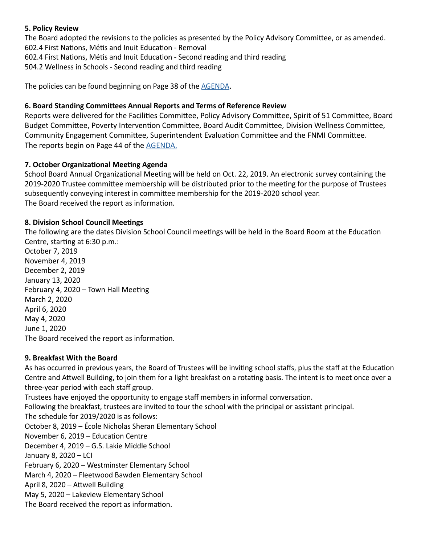#### **5. Policy Review**

The Board adopted the revisions to the policies as presented by the Policy Advisory Committee, or as amended. 602.4 First Nations, Métis and Inuit Education - Removal 602.4 First Nations, Métis and Inuit Education - Second reading and third reading 504.2 Wellness in Schools - Second reading and third reading

The policies can be found beginning on Page 38 of the [AGENDA.](https://www.lethsd.ab.ca/download/203356)

#### **6. Board Standing Committees Annual Reports and Terms of Reference Review**

Reports were delivered for the Facilities Committee, Policy Advisory Committee, Spirit of 51 Committee, Board Budget Committee, Poverty Intervention Committee, Board Audit Committee, Division Wellness Committee, Community Engagement Committee, Superintendent Evaluation Committee and the FNMI Committee. The reports begin on Page 44 of the [AGENDA.](https://www.lethsd.ab.ca/download/203356)

# **7. October Organizational Meeting Agenda**

School Board Annual Organizational Meeting will be held on Oct. 22, 2019. An electronic survey containing the 2019-2020 Trustee committee membership will be distributed prior to the meeting for the purpose of Trustees subsequently conveying interest in committee membership for the 2019-2020 school year. The Board received the report as information.

#### **8. Division School Council Meetings**

The following are the dates Division School Council meetings will be held in the Board Room at the Education Centre, starting at 6:30 p.m.:

October 7, 2019 November 4, 2019 December 2, 2019 January 13, 2020 February 4, 2020 – Town Hall Meeting March 2, 2020 April 6, 2020 May 4, 2020 June 1, 2020 The Board received the report as information.

# **9. Breakfast With the Board**

As has occurred in previous years, the Board of Trustees will be inviting school staffs, plus the staff at the Education Centre and Attwell Building, to join them for a light breakfast on a rotating basis. The intent is to meet once over a three-year period with each staff group.

Trustees have enjoyed the opportunity to engage staff members in informal conversation.

Following the breakfast, trustees are invited to tour the school with the principal or assistant principal.

The schedule for 2019/2020 is as follows:

October 8, 2019 – École Nicholas Sheran Elementary School

November 6, 2019 – Education Centre

December 4, 2019 – G.S. Lakie Middle School

January 8, 2020 – LCI

February 6, 2020 – Westminster Elementary School

March 4, 2020 – Fleetwood Bawden Elementary School

April 8, 2020 – Attwell Building

May 5, 2020 – Lakeview Elementary School

The Board received the report as information.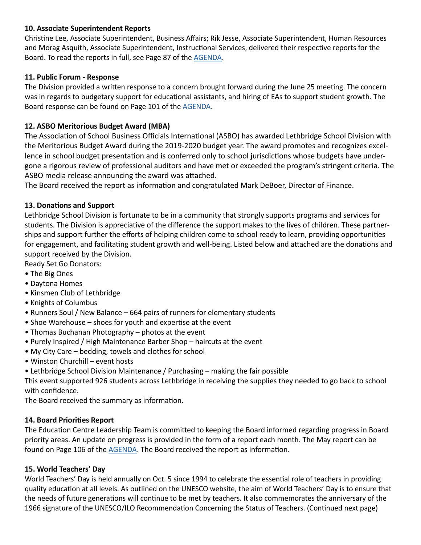#### **10. Associate Superintendent Reports**

Christine Lee, Associate Superintendent, Business Affairs; Rik Jesse, Associate Superintendent, Human Resources and Morag Asquith, Associate Superintendent, Instructional Services, delivered their respective reports for the Board. To read the reports in full, see Page 87 of the [AGENDA.](https://www.lethsd.ab.ca/download/203356)

#### **11. Public Forum - Response**

The Division provided a written response to a concern brought forward during the June 25 meeting. The concern was in regards to budgetary support for educational assistants, and hiring of EAs to support student growth. The Board response can be found on Page 101 of the [AGENDA.](https://www.lethsd.ab.ca/download/203356)

#### **12. ASBO Meritorious Budget Award (MBA)**

The Association of School Business Officials International (ASBO) has awarded Lethbridge School Division with the Meritorious Budget Award during the 2019-2020 budget year. The award promotes and recognizes excellence in school budget presentation and is conferred only to school jurisdictions whose budgets have undergone a rigorous review of professional auditors and have met or exceeded the program's stringent criteria. The ASBO media release announcing the award was attached.

The Board received the report as information and congratulated Mark DeBoer, Director of Finance.

#### **13. Donations and Support**

Lethbridge School Division is fortunate to be in a community that strongly supports programs and services for students. The Division is appreciative of the difference the support makes to the lives of children. These partnerships and support further the efforts of helping children come to school ready to learn, providing opportunities for engagement, and facilitating student growth and well-being. Listed below and attached are the donations and support received by the Division.

Ready Set Go Donators:

- The Big Ones
- Daytona Homes
- Kinsmen Club of Lethbridge
- Knights of Columbus
- Runners Soul / New Balance 664 pairs of runners for elementary students
- Shoe Warehouse shoes for youth and expertise at the event
- Thomas Buchanan Photography photos at the event
- Purely Inspired / High Maintenance Barber Shop haircuts at the event
- My City Care bedding, towels and clothes for school
- Winston Churchill event hosts
- Lethbridge School Division Maintenance / Purchasing making the fair possible

This event supported 926 students across Lethbridge in receiving the supplies they needed to go back to school with confidence.

The Board received the summary as information.

#### **14. Board Priorities Report**

The Education Centre Leadership Team is committed to keeping the Board informed regarding progress in Board priority areas. An update on progress is provided in the form of a report each month. The May report can be found on Page 106 of the [AGENDA](https://www.lethsd.ab.ca/download/203356). The Board received the report as information.

#### **15. World Teachers' Day**

World Teachers' Day is held annually on Oct. 5 since 1994 to celebrate the essential role of teachers in providing quality education at all levels. As outlined on the UNESCO website, the aim of World Teachers' Day is to ensure that the needs of future generations will continue to be met by teachers. It also commemorates the anniversary of the 1966 signature of the UNESCO/ILO Recommendation Concerning the Status of Teachers. (Continued next page)